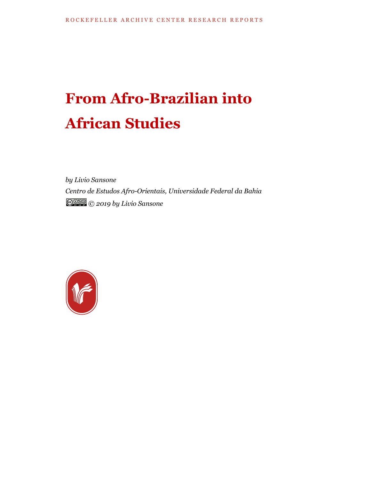# **From Afro-Brazilian into African Studies**

*by Livio Sansone Centro de Estudos Afro-Orientais, Universidade Federal da Bahia © 2019 by Livio Sansone*

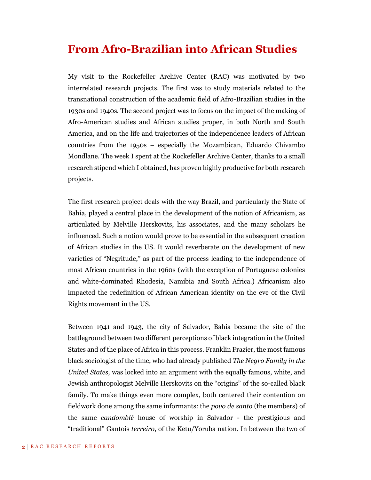# **From Afro-Brazilian into African Studies**

My visit to the Rockefeller Archive Center (RAC) was motivated by two interrelated research projects. The first was to study materials related to the transnational construction of the academic field of Afro-Brazilian studies in the 1930s and 1940s. The second project was to focus on the impact of the making of Afro-American studies and African studies proper, in both North and South America, and on the life and trajectories of the independence leaders of African countries from the 1950s – especially the Mozambican, Eduardo Chivambo Mondlane. The week I spent at the Rockefeller Archive Center, thanks to a small research stipend which I obtained, has proven highly productive for both research projects.

The first research project deals with the way Brazil, and particularly the State of Bahia, played a central place in the development of the notion of Africanism, as articulated by Melville Herskovits, his associates, and the many scholars he influenced. Such a notion would prove to be essential in the subsequent creation of African studies in the US. It would reverberate on the development of new varieties of "Negritude," as part of the process leading to the independence of most African countries in the 1960s (with the exception of Portuguese colonies and white-dominated Rhodesia, Namibia and South Africa.) Africanism also impacted the redefinition of African American identity on the eve of the Civil Rights movement in the US.

Between 1941 and 1943, the city of Salvador, Bahia became the site of the battleground between two different perceptions of black integration in the United States and of the place of Africa in this process. Franklin Frazier, the most famous black sociologist of the time, who had already published *The Negro Family in the United States,* was locked into an argument with the equally famous, white, and Jewish anthropologist Melville Herskovits on the "origins" of the so-called black family. To make things even more complex, both centered their contention on fieldwork done among the same informants: the *povo de santo* (the members) of the same *candomblé* house of worship in Salvador - the prestigious and "traditional" Gantois *terreiro*, of the Ketu/Yoruba nation. In between the two of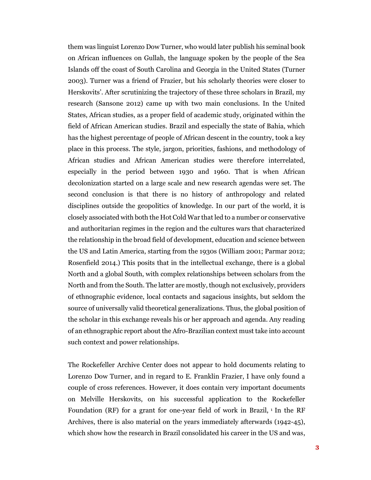them was linguist Lorenzo Dow Turner, who would later publish his seminal book on African influences on Gullah, the language spoken by the people of the Sea Islands off the coast of South Carolina and Georgia in the United States (Turner 2003). Turner was a friend of Frazier, but his scholarly theories were closer to Herskovits'. After scrutinizing the trajectory of these three scholars in Brazil, my research (Sansone 2012) came up with two main conclusions. In the United States, African studies, as a proper field of academic study, originated within the field of African American studies. Brazil and especially the state of Bahia, which has the highest percentage of people of African descent in the country, took a key place in this process. The style, jargon, priorities, fashions, and methodology of African studies and African American studies were therefore interrelated, especially in the period between 1930 and 1960. That is when African decolonization started on a large scale and new research agendas were set. The second conclusion is that there is no history of anthropology and related disciplines outside the geopolitics of knowledge. In our part of the world, it is closely associated with both the Hot Cold War that led to a number or conservative and authoritarian regimes in the region and the cultures wars that characterized the relationship in the broad field of development, education and science between the US and Latin America, starting from the 1930s (William 2001; Parmar 2012; Rosenfield 2014.) This posits that in the intellectual exchange, there is a global North and a global South, with complex relationships between scholars from the North and from the South. The latter are mostly, though not exclusively, providers of ethnographic evidence, local contacts and sagacious insights, but seldom the source of universally valid theoretical generalizations. Thus, the global position of the scholar in this exchange reveals his or her approach and agenda. Any reading of an ethnographic report about the Afro-Brazilian context must take into account such context and power relationships.

The Rockefeller Archive Center does not appear to hold documents relating to Lorenzo Dow Turner, and in regard to E. Franklin Frazier, I have only found a couple of cross references. However, it does contain very important documents on Melville Herskovits, on his successful application to the Rockefeller Foundation (RF) for a grant for one-year field of work in Brazil, <sup>1</sup> In the RF Archives, there is also material on the years immediately afterwards (1942-45), which show how the research in Brazil consolidated his career in the US and was,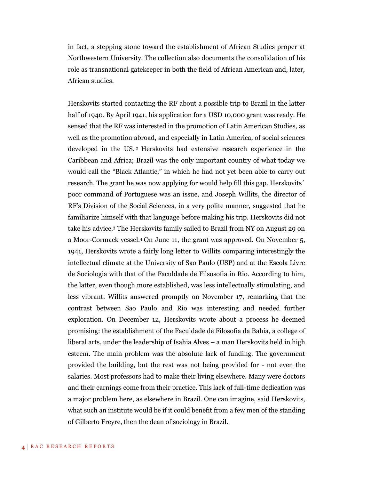in fact, a stepping stone toward the establishment of African Studies proper at Northwestern University. The collection also documents the consolidation of his role as transnational gatekeeper in both the field of African American and, later, African studies.

Herskovits started contacting the RF about a possible trip to Brazil in the latter half of 1940. By April 1941, his application for a USD 10,000 grant was ready. He sensed that the RF was interested in the promotion of Latin American Studies, as well as the promotion abroad, and especially in Latin America, of social sciences developed in the US. <sup>2</sup> Herskovits had extensive research experience in the Caribbean and Africa; Brazil was the only important country of what today we would call the "Black Atlantic," in which he had not yet been able to carry out research. The grant he was now applying for would help fill this gap. Herskovits´ poor command of Portuguese was an issue, and Joseph Willits, the director of RF's Division of the Social Sciences, in a very polite manner, suggested that he familiarize himself with that language before making his trip. Herskovits did not take his advice. <sup>3</sup> The Herskovits family sailed to Brazil from NY on August 29 on a Moor-Cormack vessel. <sup>4</sup> On June 11, the grant was approved. On November 5, 1941, Herskovits wrote a fairly long letter to Willits comparing interestingly the intellectual climate at the University of Sao Paulo (USP) and at the Escola Livre de Sociologia with that of the Faculdade de Filsosofia in Rio. According to him, the latter, even though more established, was less intellectually stimulating, and less vibrant. Willits answered promptly on November 17, remarking that the contrast between Sao Paulo and Rio was interesting and needed further exploration. On December 12, Herskovits wrote about a process he deemed promising: the establishment of the Faculdade de Filosofia da Bahia, a college of liberal arts, under the leadership of Isahia Alves – a man Herskovits held in high esteem. The main problem was the absolute lack of funding. The government provided the building, but the rest was not being provided for - not even the salaries. Most professors had to make their living elsewhere. Many were doctors and their earnings come from their practice. This lack of full-time dedication was a major problem here, as elsewhere in Brazil. One can imagine, said Herskovits, what such an institute would be if it could benefit from a few men of the standing of Gilberto Freyre, then the dean of sociology in Brazil.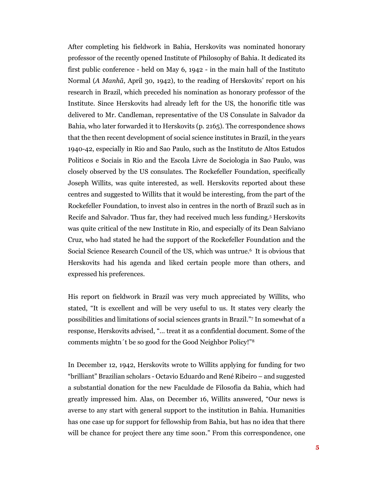After completing his fieldwork in Bahia, Herskovits was nominated honorary professor of the recently opened Institute of Philosophy of Bahia. It dedicated its first public conference - held on May 6, 1942 - in the main hall of the Instituto Normal (*A Manhã*, April 30, 1942), to the reading of Herskovits' report on his research in Brazil, which preceded his nomination as honorary professor of the Institute. Since Herskovits had already left for the US, the honorific title was delivered to Mr. Candleman, representative of the US Consulate in Salvador da Bahia, who later forwarded it to Herskovits (p. 2165). The correspondence shows that the then recent development of social science institutes in Brazil, in the years 1940-42, especially in Rio and Sao Paulo, such as the Instituto de Altos Estudos Politicos e Sociais in Rio and the Escola Livre de Sociologia in Sao Paulo, was closely observed by the US consulates. The Rockefeller Foundation, specifically Joseph Willits, was quite interested, as well. Herskovits reported about these centres and suggested to Willits that it would be interesting, from the part of the Rockefeller Foundation, to invest also in centres in the north of Brazil such as in Recife and Salvador. Thus far, they had received much less funding. <sup>5</sup> Herskovits was quite critical of the new Institute in Rio, and especially of its Dean Salviano Cruz, who had stated he had the support of the Rockefeller Foundation and the Social Science Research Council of the US, which was untrue. <sup>6</sup> It is obvious that Herskovits had his agenda and liked certain people more than others, and expressed his preferences.

His report on fieldwork in Brazil was very much appreciated by Willits, who stated, "It is excellent and will be very useful to us. It states very clearly the possibilities and limitations of social sciences grants in Brazil." <sup>7</sup> In somewhat of a response, Herskovits advised, "… treat it as a confidential document. Some of the comments mightn´t be so good for the Good Neighbor Policy!"<sup>8</sup>

In December 12, 1942, Herskovits wrote to Willits applying for funding for two "brilliant" Brazilian scholars - Octavio Eduardo and René Ribeiro – and suggested a substantial donation for the new Faculdade de Filosofia da Bahia, which had greatly impressed him. Alas, on December 16, Willits answered, "Our news is averse to any start with general support to the institution in Bahia. Humanities has one case up for support for fellowship from Bahia, but has no idea that there will be chance for project there any time soon." From this correspondence, one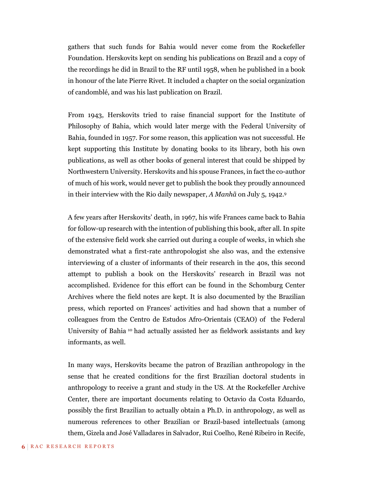gathers that such funds for Bahia would never come from the Rockefeller Foundation. Herskovits kept on sending his publications on Brazil and a copy of the recordings he did in Brazil to the RF until 1958, when he published in a book in honour of the late Pierre Rivet. It included a chapter on the social organization of candomblé, and was his last publication on Brazil.

From 1943, Herskovits tried to raise financial support for the Institute of Philosophy of Bahia, which would later merge with the Federal University of Bahia, founded in 1957. For some reason, this application was not successful. He kept supporting this Institute by donating books to its library, both his own publications, as well as other books of general interest that could be shipped by Northwestern University. Herskovits and his spouse Frances, in fact the co-author of much of his work, would never get to publish the book they proudly announced in their interview with the Rio daily newspaper, *A Manhã* on July 5, 1942. 9

A few years after Herskovits' death, in 1967, his wife Frances came back to Bahia for follow-up research with the intention of publishing this book, after all. In spite of the extensive field work she carried out during a couple of weeks, in which she demonstrated what a first-rate anthropologist she also was, and the extensive interviewing of a cluster of informants of their research in the 40s, this second attempt to publish a book on the Herskovits' research in Brazil was not accomplished. Evidence for this effort can be found in the Schomburg Center Archives where the field notes are kept. It is also documented by the Brazilian press, which reported on Frances' activities and had shown that a number of colleagues from the Centro de Estudos Afro-Orientais (CEAO) of the Federal University of Bahia <sup>10</sup> had actually assisted her as fieldwork assistants and key informants, as well.

In many ways, Herskovits became the patron of Brazilian anthropology in the sense that he created conditions for the first Brazilian doctoral students in anthropology to receive a grant and study in the US. At the Rockefeller Archive Center, there are important documents relating to Octavio da Costa Eduardo, possibly the first Brazilian to actually obtain a Ph.D. in anthropology, as well as numerous references to other Brazilian or Brazil-based intellectuals (among them, Gizela and José Valladares in Salvador, Rui Coelho, René Ribeiro in Recife,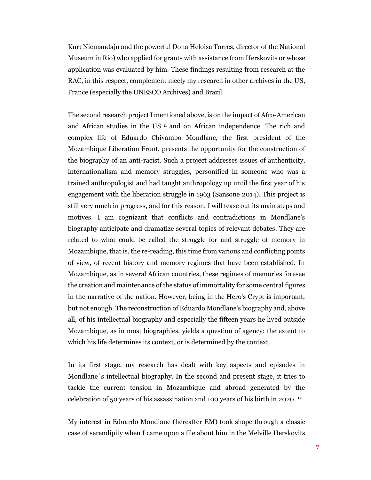Kurt Niemandaju and the powerful Dona Heloisa Torres, director of the National Museum in Rio) who applied for grants with assistance from Herskovits or whose application was evaluated by him. These findings resulting from research at the RAC, in this respect, complement nicely my research in other archives in the US, France (especially the UNESCO Archives) and Brazil.

The second research project I mentioned above, is on the impact of Afro-American and African studies in the US <sup>11</sup> and on African independence. The rich and complex life of Eduardo Chivambo Mondlane, the first president of the Mozambique Liberation Front, presents the opportunity for the construction of the biography of an anti-racist. Such a project addresses issues of authenticity, internationalism and memory struggles, personified in someone who was a trained anthropologist and had taught anthropology up until the first year of his engagement with the liberation struggle in 1963 (Sansone 2014). This project is still very much in progress, and for this reason, I will tease out its main steps and motives. I am cognizant that conflicts and contradictions in Mondlane's biography anticipate and dramatize several topics of relevant debates. They are related to what could be called the struggle for and struggle of memory in Mozambique, that is, the re-reading, this time from various and conflicting points of view, of recent history and memory regimes that have been established. In Mozambique, as in several African countries, these regimes of memories foresee the creation and maintenance of the status of immortality for some central figures in the narrative of the nation. However, being in the Hero's Crypt is important, but not enough. The reconstruction of Eduardo Mondlane's biography and, above all, of his intellectual biography and especially the fifteen years he lived outside Mozambique, as in most biographies, yields a question of agency: the extent to which his life determines its context, or is determined by the context.

In its first stage, my research has dealt with key aspects and episodes in Mondlane´s intellectual biography. In the second and present stage, it tries to tackle the current tension in Mozambique and abroad generated by the celebration of 50 years of his assassination and 100 years of his birth in 2020. 12

My interest in Eduardo Mondlane (hereafter EM) took shape through a classic case of serendipity when I came upon a file about him in the Melville Herskovits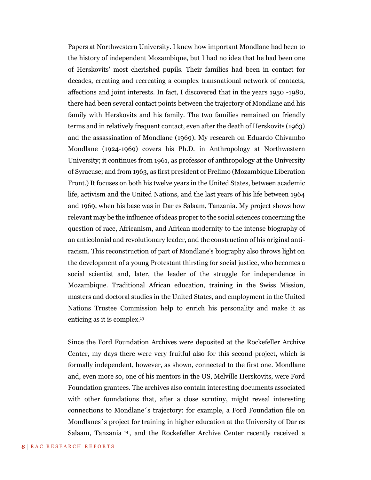Papers at Northwestern University. I knew how important Mondlane had been to the history of independent Mozambique, but I had no idea that he had been one of Herskovits' most cherished pupils. Their families had been in contact for decades, creating and recreating a complex transnational network of contacts, affections and joint interests. In fact, I discovered that in the years 1950 -1980, there had been several contact points between the trajectory of Mondlane and his family with Herskovits and his family. The two families remained on friendly terms and in relatively frequent contact, even after the death of Herskovits (1963) and the assassination of Mondlane (1969). My research on Eduardo Chivambo Mondlane (1924-1969) covers his Ph.D. in Anthropology at Northwestern University; it continues from 1961, as professor of anthropology at the University of Syracuse; and from 1963, as first president of Frelimo (Mozambique Liberation Front.) It focuses on both his twelve years in the United States, between academic life, activism and the United Nations, and the last years of his life between 1964 and 1969, when his base was in Dar es Salaam, Tanzania. My project shows how relevant may be the influence of ideas proper to the social sciences concerning the question of race, Africanism, and African modernity to the intense biography of an anticolonial and revolutionary leader, and the construction of his original antiracism. This reconstruction of part of Mondlane's biography also throws light on the development of a young Protestant thirsting for social justice, who becomes a social scientist and, later, the leader of the struggle for independence in Mozambique. Traditional African education, training in the Swiss Mission, masters and doctoral studies in the United States, and employment in the United Nations Trustee Commission help to enrich his personality and make it as enticing as it is complex. 13

Since the Ford Foundation Archives were deposited at the Rockefeller Archive Center, my days there were very fruitful also for this second project, which is formally independent, however, as shown, connected to the first one. Mondlane and, even more so, one of his mentors in the US, Melville Herskovits, were Ford Foundation grantees. The archives also contain interesting documents associated with other foundations that, after a close scrutiny, might reveal interesting connections to Mondlane´s trajectory: for example, a Ford Foundation file on Mondlanes´s project for training in higher education at the University of Dar es Salaam, Tanzania <sup>14</sup> , and the Rockefeller Archive Center recently received a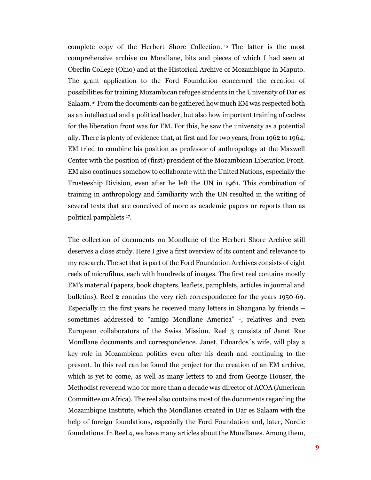complete copy of the Herbert Shore Collection. <sup>15</sup> The latter is the most comprehensive archive on Mondlane, bits and pieces of which I had seen at Oberlin College (Ohio) and at the Historical Archive of Mozambique in Maputo. The grant application to the Ford Foundation concerned the creation of possibilities for training Mozambican refugee students in the University of Dar es Salaam.<sup>16</sup> From the documents can be gathered how much EM was respected both as an intellectual and a political leader, but also how important training of cadres for the liberation front was for EM. For this, he saw the university as a potential ally. There is plenty of evidence that, at first and for two years, from 1962 to 1964, EM tried to combine his position as professor of anthropology at the Maxwell Center with the position of (first) president of the Mozambican Liberation Front. EM also continues somehow to collaborate with the United Nations, especially the Trusteeship Division, even after he left the UN in 1961. This combination of training in anthropology and familiarity with the UN resulted in the writing of several texts that are conceived of more as academic papers or reports than as political pamphlets <sup>17</sup> .

The collection of documents on Mondlane of the Herbert Shore Archive still deserves a close study. Here I give a first overview of its content and relevance to my research. The set that is part of the Ford Foundation Archives consists of eight reels of microfilms, each with hundreds of images. The first reel contains mostly EM's material (papers, book chapters, leaflets, pamphlets, articles in journal and bulletins). Reel 2 contains the very rich correspondence for the years 1950-69. Especially in the first years he received many letters in Shangana by friends – sometimes addressed to "amigo Mondlane America" -, relatives and even European collaborators of the Swiss Mission. Reel 3 consists of Janet Rae Mondlane documents and correspondence. Janet, Eduardos´s wife, will play a key role in Mozambican politics even after his death and continuing to the present. In this reel can be found the project for the creation of an EM archive, which is yet to come, as well as many letters to and from George Houser, the Methodist reverend who for more than a decade was director of ACOA (American Committee on Africa). The reel also contains most of the documents regarding the Mozambique Institute, which the Mondlanes created in Dar es Salaam with the help of foreign foundations, especially the Ford Foundation and, later, Nordic foundations. In Reel 4, we have many articles about the Mondlanes. Among them,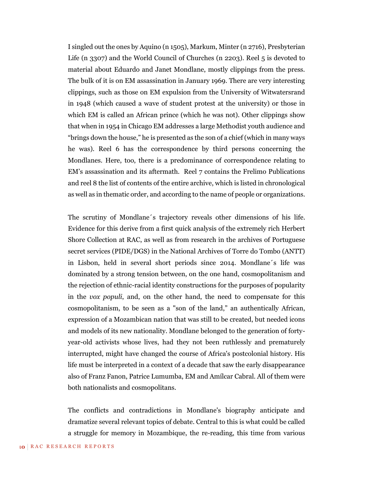I singled out the ones by Aquino (n 1505), Markum, Minter (n 2716), Presbyterian Life (n 3307) and the World Council of Churches (n 2203). Reel 5 is devoted to material about Eduardo and Janet Mondlane, mostly clippings from the press. The bulk of it is on EM assassination in January 1969. There are very interesting clippings, such as those on EM expulsion from the University of Witwatersrand in 1948 (which caused a wave of student protest at the university) or those in which EM is called an African prince (which he was not). Other clippings show that when in 1954 in Chicago EM addresses a large Methodist youth audience and "brings down the house," he is presented as the son of a chief (which in many ways he was). Reel 6 has the correspondence by third persons concerning the Mondlanes. Here, too, there is a predominance of correspondence relating to EM's assassination and its aftermath. Reel 7 contains the Frelimo Publications and reel 8 the list of contents of the entire archive, which is listed in chronological as well as in thematic order, and according to the name of people or organizations.

The scrutiny of Mondlane´s trajectory reveals other dimensions of his life. Evidence for this derive from a first quick analysis of the extremely rich Herbert Shore Collection at RAC, as well as from research in the archives of Portuguese secret services (PIDE/DGS) in the National Archives of Torre do Tombo (ANTT) in Lisbon, held in several short periods since 2014. Mondlane´s life was dominated by a strong tension between, on the one hand, cosmopolitanism and the rejection of ethnic-racial identity constructions for the purposes of popularity in the *vox populi*, and, on the other hand, the need to compensate for this cosmopolitanism, to be seen as a "son of the land," an authentically African, expression of a Mozambican nation that was still to be created, but needed icons and models of its new nationality. Mondlane belonged to the generation of fortyyear-old activists whose lives, had they not been ruthlessly and prematurely interrupted, might have changed the course of Africa's postcolonial history. His life must be interpreted in a context of a decade that saw the early disappearance also of Franz Fanon, Patrice Lumumba, EM and Amílcar Cabral. All of them were both nationalists and cosmopolitans.

The conflicts and contradictions in Mondlane's biography anticipate and dramatize several relevant topics of debate. Central to this is what could be called a struggle for memory in Mozambique, the re-reading, this time from various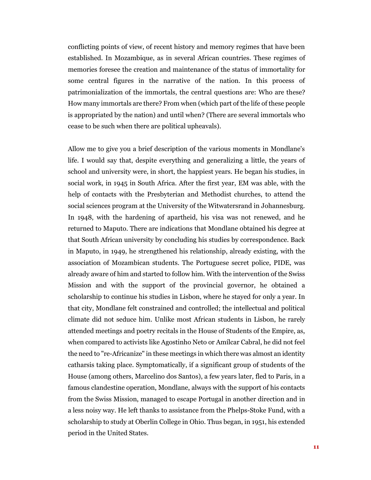conflicting points of view, of recent history and memory regimes that have been established. In Mozambique, as in several African countries. These regimes of memories foresee the creation and maintenance of the status of immortality for some central figures in the narrative of the nation. In this process of patrimonialization of the immortals, the central questions are: Who are these? How many immortals are there? From when (which part of the life of these people is appropriated by the nation) and until when? (There are several immortals who cease to be such when there are political upheavals).

Allow me to give you a brief description of the various moments in Mondlane's life. I would say that, despite everything and generalizing a little, the years of school and university were, in short, the happiest years. He began his studies, in social work, in 1945 in South Africa. After the first year, EM was able, with the help of contacts with the Presbyterian and Methodist churches, to attend the social sciences program at the University of the Witwatersrand in Johannesburg. In 1948, with the hardening of apartheid, his visa was not renewed, and he returned to Maputo. There are indications that Mondlane obtained his degree at that South African university by concluding his studies by correspondence. Back in Maputo, in 1949, he strengthened his relationship, already existing, with the association of Mozambican students. The Portuguese secret police, PIDE, was already aware of him and started to follow him. With the intervention of the Swiss Mission and with the support of the provincial governor, he obtained a scholarship to continue his studies in Lisbon, where he stayed for only a year. In that city, Mondlane felt constrained and controlled; the intellectual and political climate did not seduce him. Unlike most African students in Lisbon, he rarely attended meetings and poetry recitals in the House of Students of the Empire, as, when compared to activists like Agostinho Neto or Amílcar Cabral, he did not feel the need to "re-Africanize" in these meetings in which there was almost an identity catharsis taking place. Symptomatically, if a significant group of students of the House (among others, Marcelino dos Santos), a few years later, fled to Paris, in a famous clandestine operation, Mondlane, always with the support of his contacts from the Swiss Mission, managed to escape Portugal in another direction and in a less noisy way. He left thanks to assistance from the Phelps-Stoke Fund, with a scholarship to study at Oberlin College in Ohio. Thus began, in 1951, his extended period in the United States.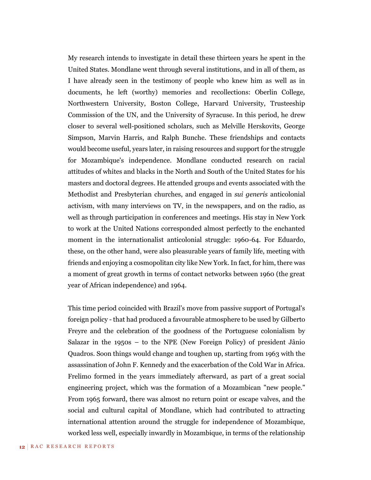My research intends to investigate in detail these thirteen years he spent in the United States. Mondlane went through several institutions, and in all of them, as I have already seen in the testimony of people who knew him as well as in documents, he left (worthy) memories and recollections: Oberlin College, Northwestern University, Boston College, Harvard University, Trusteeship Commission of the UN, and the University of Syracuse. In this period, he drew closer to several well-positioned scholars, such as Melville Herskovits, George Simpson, Marvin Harris, and Ralph Bunche. These friendships and contacts would become useful, years later, in raising resources and support for the struggle for Mozambique's independence. Mondlane conducted research on racial attitudes of whites and blacks in the North and South of the United States for his masters and doctoral degrees. He attended groups and events associated with the Methodist and Presbyterian churches, and engaged in *sui generis* anticolonial activism, with many interviews on TV, in the newspapers, and on the radio, as well as through participation in conferences and meetings. His stay in New York to work at the United Nations corresponded almost perfectly to the enchanted moment in the internationalist anticolonial struggle: 1960-64. For Eduardo, these, on the other hand, were also pleasurable years of family life, meeting with friends and enjoying a cosmopolitan city like New York. In fact, for him, there was a moment of great growth in terms of contact networks between 1960 (the great year of African independence) and 1964.

This time period coincided with Brazil's move from passive support of Portugal's foreign policy - that had produced a favourable atmosphere to be used by Gilberto Freyre and the celebration of the goodness of the Portuguese colonialism by Salazar in the 1950s – to the NPE (New Foreign Policy) of president Jânio Quadros. Soon things would change and toughen up, starting from 1963 with the assassination of John F. Kennedy and the exacerbation of the Cold War in Africa. Frelimo formed in the years immediately afterward, as part of a great social engineering project, which was the formation of a Mozambican "new people." From 1965 forward, there was almost no return point or escape valves, and the social and cultural capital of Mondlane, which had contributed to attracting international attention around the struggle for independence of Mozambique, worked less well, especially inwardly in Mozambique, in terms of the relationship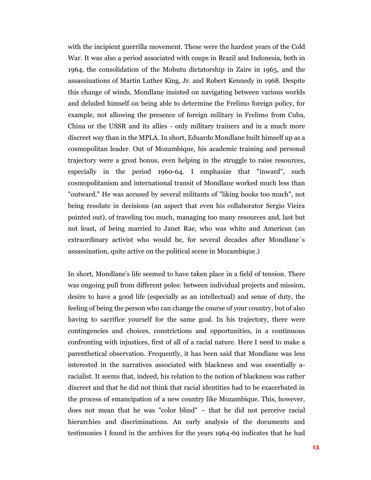with the incipient guerrilla movement. These were the hardest years of the Cold War. It was also a period associated with coups in Brazil and Indonesia, both in 1964, the consolidation of the Mobutu dictatorship in Zaire in 1965, and the assassinations of Martin Luther King, Jr. and Robert Kennedy in 1968. Despite this change of winds, Mondlane insisted on navigating between various worlds and deluded himself on being able to determine the Frelimo foreign policy, for example, not allowing the presence of foreign military in Frelimo from Cuba, China or the USSR and its allies - only military trainers and in a much more discreet way than in the MPLA. In short, Eduardo Mondlane built himself up as a cosmopolitan leader. Out of Mozambique, his academic training and personal trajectory were a great bonus, even helping in the struggle to raise resources, especially in the period 1960-64. I emphasize that "inward", such cosmopolitanism and international transit of Mondlane worked much less than "outward." He was accused by several militants of "liking books too much", not being resolute in decisions (an aspect that even his collaborator Sergio Vieira pointed out), of traveling too much, managing too many resources and, last but not least, of being married to Janet Rae, who was white and American (an extraordinary activist who would be, for several decades after Mondlane´s assassination, quite active on the political scene in Mozambique.)

In short, Mondlane's life seemed to have taken place in a field of tension. There was ongoing pull from different poles: between individual projects and mission, desire to have a good life (especially as an intellectual) and sense of duty, the feeling of being the person who can change the course of your country, but of also having to sacrifice yourself for the same goal. In his trajectory, there were contingencies and choices, constrictions and opportunities, in a continuous confronting with injustices, first of all of a racial nature. Here I need to make a parenthetical observation. Frequently, it has been said that Mondlane was less interested in the narratives associated with blackness and was essentially aracialist. It seems that, indeed, his relation to the notion of blackness was rather discreet and that he did not think that racial identities had to be exacerbated in the process of emancipation of a new country like Mozambique. This, however, does not mean that he was "color blind" – that he did not perceive racial hierarchies and discriminations. An early analysis of the documents and testimonies I found in the archives for the years 1964-69 indicates that he had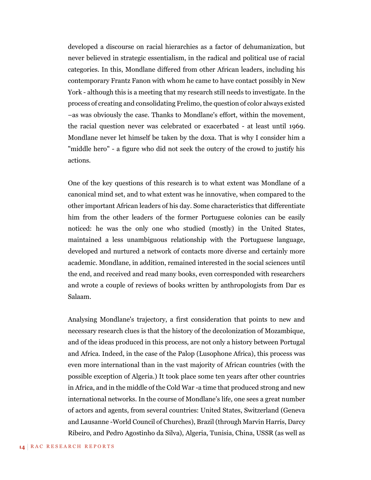developed a discourse on racial hierarchies as a factor of dehumanization, but never believed in strategic essentialism, in the radical and political use of racial categories. In this, Mondlane differed from other African leaders, including his contemporary Frantz Fanon with whom he came to have contact possibly in New York - although this is a meeting that my research still needs to investigate. In the process of creating and consolidating Frelimo, the question of color always existed –as was obviously the case. Thanks to Mondlane's effort, within the movement, the racial question never was celebrated or exacerbated - at least until 1969. Mondlane never let himself be taken by the doxa. That is why I consider him a "middle hero" - a figure who did not seek the outcry of the crowd to justify his actions.

One of the key questions of this research is to what extent was Mondlane of a canonical mind set, and to what extent was he innovative, when compared to the other important African leaders of his day. Some characteristics that differentiate him from the other leaders of the former Portuguese colonies can be easily noticed: he was the only one who studied (mostly) in the United States, maintained a less unambiguous relationship with the Portuguese language, developed and nurtured a network of contacts more diverse and certainly more academic. Mondlane, in addition, remained interested in the social sciences until the end, and received and read many books, even corresponded with researchers and wrote a couple of reviews of books written by anthropologists from Dar es Salaam.

Analysing Mondlane's trajectory, a first consideration that points to new and necessary research clues is that the history of the decolonization of Mozambique, and of the ideas produced in this process, are not only a history between Portugal and Africa. Indeed, in the case of the Palop (Lusophone Africa), this process was even more international than in the vast majority of African countries (with the possible exception of Algeria.) It took place some ten years after other countries in Africa, and in the middle of the Cold War -a time that produced strong and new international networks. In the course of Mondlane's life, one sees a great number of actors and agents, from several countries: United States, Switzerland (Geneva and Lausanne -World Council of Churches), Brazil (through Marvin Harris, Darcy Ribeiro, and Pedro Agostinho da Silva), Algeria, Tunisia, China, USSR (as well as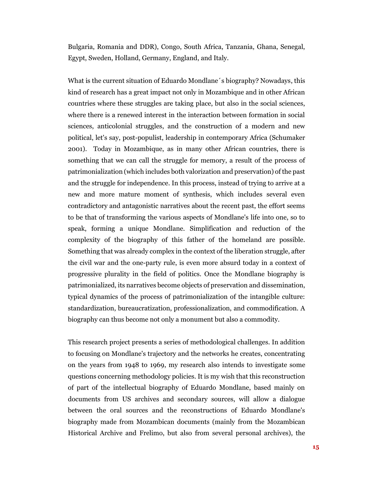Bulgaria, Romania and DDR), Congo, South Africa, Tanzania, Ghana, Senegal, Egypt, Sweden, Holland, Germany, England, and Italy.

What is the current situation of Eduardo Mondlane´s biography? Nowadays, this kind of research has a great impact not only in Mozambique and in other African countries where these struggles are taking place, but also in the social sciences, where there is a renewed interest in the interaction between formation in social sciences, anticolonial struggles, and the construction of a modern and new political, let's say, post-populist, leadership in contemporary Africa (Schumaker 2001). Today in Mozambique, as in many other African countries, there is something that we can call the struggle for memory, a result of the process of patrimonialization (which includes both valorization and preservation) of the past and the struggle for independence. In this process, instead of trying to arrive at a new and more mature moment of synthesis, which includes several even contradictory and antagonistic narratives about the recent past, the effort seems to be that of transforming the various aspects of Mondlane's life into one, so to speak, forming a unique Mondlane. Simplification and reduction of the complexity of the biography of this father of the homeland are possible. Something that was already complex in the context of the liberation struggle, after the civil war and the one-party rule, is even more absurd today in a context of progressive plurality in the field of politics. Once the Mondlane biography is patrimonialized, its narratives become objects of preservation and dissemination, typical dynamics of the process of patrimonialization of the intangible culture: standardization, bureaucratization, professionalization, and commodification. A biography can thus become not only a monument but also a commodity.

This research project presents a series of methodological challenges. In addition to focusing on Mondlane's trajectory and the networks he creates, concentrating on the years from 1948 to 1969, my research also intends to investigate some questions concerning methodology policies. It is my wish that this reconstruction of part of the intellectual biography of Eduardo Mondlane, based mainly on documents from US archives and secondary sources, will allow a dialogue between the oral sources and the reconstructions of Eduardo Mondlane's biography made from Mozambican documents (mainly from the Mozambican Historical Archive and Frelimo, but also from several personal archives), the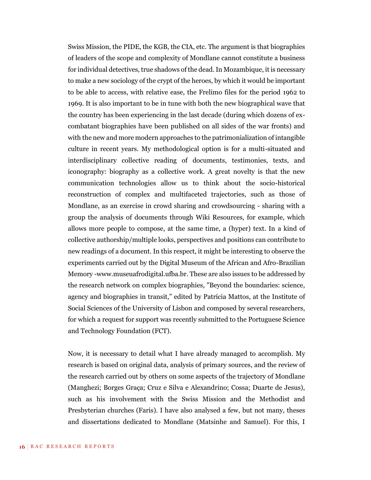Swiss Mission, the PIDE, the KGB, the CIA, etc. The argument is that biographies of leaders of the scope and complexity of Mondlane cannot constitute a business for individual detectives, true shadows of the dead. In Mozambique, it is necessary to make a new sociology of the crypt of the heroes, by which it would be important to be able to access, with relative ease, the Frelimo files for the period 1962 to 1969. It is also important to be in tune with both the new biographical wave that the country has been experiencing in the last decade (during which dozens of excombatant biographies have been published on all sides of the war fronts) and with the new and more modern approaches to the patrimonialization of intangible culture in recent years. My methodological option is for a multi-situated and interdisciplinary collective reading of documents, testimonies, texts, and iconography: biography as a collective work. A great novelty is that the new communication technologies allow us to think about the socio-historical reconstruction of complex and multifaceted trajectories, such as those of Mondlane, as an exercise in crowd sharing and crowdsourcing - sharing with a group the analysis of documents through Wiki Resources, for example, which allows more people to compose, at the same time, a (hyper) text. In a kind of collective authorship/multiple looks, perspectives and positions can contribute to new readings of a document. In this respect, it might be interesting to observe the experiments carried out by the Digital Museum of the African and Afro-Brazilian Memory -www.museuafrodigital.ufba.br. These are also issues to be addressed by the research network on complex biographies, "Beyond the boundaries: science, agency and biographies in transit," edited by Patrícia Mattos, at the Institute of Social Sciences of the University of Lisbon and composed by several researchers, for which a request for support was recently submitted to the Portuguese Science and Technology Foundation (FCT).

Now, it is necessary to detail what I have already managed to accomplish. My research is based on original data, analysis of primary sources, and the review of the research carried out by others on some aspects of the trajectory of Mondlane (Manghezi; Borges Graça; Cruz e Silva e Alexandrino; Cossa; Duarte de Jesus), such as his involvement with the Swiss Mission and the Methodist and Presbyterian churches (Faris). I have also analysed a few, but not many, theses and dissertations dedicated to Mondlane (Matsinhe and Samuel). For this, I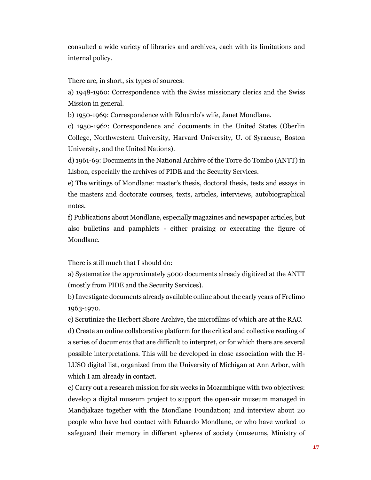consulted a wide variety of libraries and archives, each with its limitations and internal policy.

There are, in short, six types of sources:

a) 1948-1960: Correspondence with the Swiss missionary clerics and the Swiss Mission in general.

b) 1950-1969: Correspondence with Eduardo's wife, Janet Mondlane.

c) 1950-1962: Correspondence and documents in the United States (Oberlin College, Northwestern University, Harvard University, U. of Syracuse, Boston University, and the United Nations).

d) 1961-69: Documents in the National Archive of the Torre do Tombo (ANTT) in Lisbon, especially the archives of PIDE and the Security Services.

e) The writings of Mondlane: master's thesis, doctoral thesis, tests and essays in the masters and doctorate courses, texts, articles, interviews, autobiographical notes.

f) Publications about Mondlane, especially magazines and newspaper articles, but also bulletins and pamphlets - either praising or execrating the figure of Mondlane.

There is still much that I should do:

a) Systematize the approximately 5000 documents already digitized at the ANTT (mostly from PIDE and the Security Services).

b) Investigate documents already available online about the early years of Frelimo 1963-1970.

c) Scrutinize the Herbert Shore Archive, the microfilms of which are at the RAC. d) Create an online collaborative platform for the critical and collective reading of a series of documents that are difficult to interpret, or for which there are several possible interpretations. This will be developed in close association with the H-LUSO digital list, organized from the University of Michigan at Ann Arbor, with which I am already in contact.

e) Carry out a research mission for six weeks in Mozambique with two objectives: develop a digital museum project to support the open-air museum managed in Mandjakaze together with the Mondlane Foundation; and interview about 20 people who have had contact with Eduardo Mondlane, or who have worked to safeguard their memory in different spheres of society (museums, Ministry of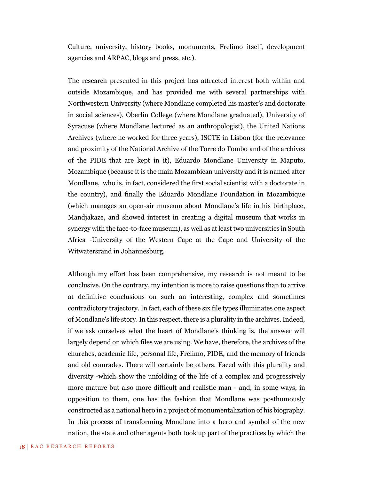Culture, university, history books, monuments, Frelimo itself, development agencies and ARPAC, blogs and press, etc.).

The research presented in this project has attracted interest both within and outside Mozambique, and has provided me with several partnerships with Northwestern University (where Mondlane completed his master's and doctorate in social sciences), Oberlin College (where Mondlane graduated), University of Syracuse (where Mondlane lectured as an anthropologist), the United Nations Archives (where he worked for three years), ISCTE in Lisbon (for the relevance and proximity of the National Archive of the Torre do Tombo and of the archives of the PIDE that are kept in it), Eduardo Mondlane University in Maputo, Mozambique (because it is the main Mozambican university and it is named after Mondlane, who is, in fact, considered the first social scientist with a doctorate in the country), and finally the Eduardo Mondlane Foundation in Mozambique (which manages an open-air museum about Mondlane's life in his birthplace, Mandjakaze, and showed interest in creating a digital museum that works in synergy with the face-to-face museum), as well as at least two universities in South Africa -University of the Western Cape at the Cape and University of the Witwatersrand in Johannesburg.

Although my effort has been comprehensive, my research is not meant to be conclusive. On the contrary, my intention is more to raise questions than to arrive at definitive conclusions on such an interesting, complex and sometimes contradictory trajectory. In fact, each of these six file types illuminates one aspect of Mondlane's life story. In this respect, there is a plurality in the archives. Indeed, if we ask ourselves what the heart of Mondlane's thinking is, the answer will largely depend on which files we are using. We have, therefore, the archives of the churches, academic life, personal life, Frelimo, PIDE, and the memory of friends and old comrades. There will certainly be others. Faced with this plurality and diversity -which show the unfolding of the life of a complex and progressively more mature but also more difficult and realistic man - and, in some ways, in opposition to them, one has the fashion that Mondlane was posthumously constructed as a national hero in a project of monumentalization of his biography. In this process of transforming Mondlane into a hero and symbol of the new nation, the state and other agents both took up part of the practices by which the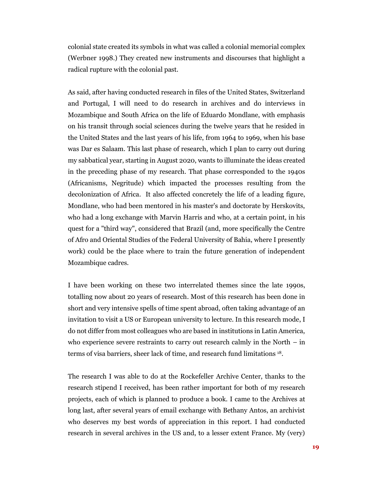colonial state created its symbols in what was called a colonial memorial complex (Werbner 1998.) They created new instruments and discourses that highlight a radical rupture with the colonial past.

As said, after having conducted research in files of the United States, Switzerland and Portugal, I will need to do research in archives and do interviews in Mozambique and South Africa on the life of Eduardo Mondlane, with emphasis on his transit through social sciences during the twelve years that he resided in the United States and the last years of his life, from 1964 to 1969, when his base was Dar es Salaam. This last phase of research, which I plan to carry out during my sabbatical year, starting in August 2020, wants to illuminate the ideas created in the preceding phase of my research. That phase corresponded to the 1940s (Africanisms, Negritude) which impacted the processes resulting from the decolonization of Africa. It also affected concretely the life of a leading figure, Mondlane, who had been mentored in his master's and doctorate by Herskovits, who had a long exchange with Marvin Harris and who, at a certain point, in his quest for a "third way", considered that Brazil (and, more specifically the Centre of Afro and Oriental Studies of the Federal University of Bahia, where I presently work) could be the place where to train the future generation of independent Mozambique cadres.

I have been working on these two interrelated themes since the late 1990s, totalling now about 20 years of research. Most of this research has been done in short and very intensive spells of time spent abroad, often taking advantage of an invitation to visit a US or European university to lecture. In this research mode, I do not differ from most colleagues who are based in institutions in Latin America, who experience severe restraints to carry out research calmly in the North  $-$  in terms of visa barriers, sheer lack of time, and research fund limitations 18.

The research I was able to do at the Rockefeller Archive Center, thanks to the research stipend I received, has been rather important for both of my research projects, each of which is planned to produce a book. I came to the Archives at long last, after several years of email exchange with Bethany Antos, an archivist who deserves my best words of appreciation in this report. I had conducted research in several archives in the US and, to a lesser extent France. My (very)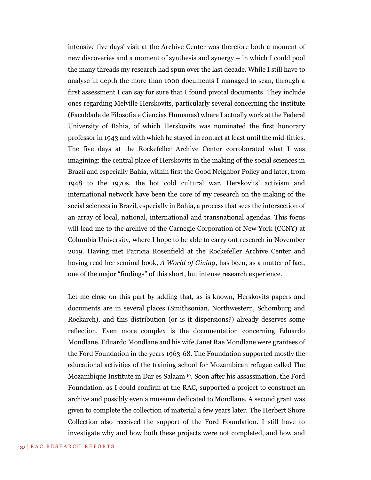intensive five days' visit at the Archive Center was therefore both a moment of new discoveries and a moment of synthesis and synergy – in which I could pool the many threads my research had spun over the last decade. While I still have to analyse in depth the more than 1000 documents I managed to scan, through a first assessment I can say for sure that I found pivotal documents. They include ones regarding Melville Herskovits, particularly several concerning the institute (Faculdade de Filosofia e Ciencias Humanas) where I actually work at the Federal University of Bahia, of which Herskovits was nominated the first honorary professor in 1943 and with which he stayed in contact at least until the mid-fifties. The five days at the Rockefeller Archive Center corroborated what I was imagining: the central place of Herskovits in the making of the social sciences in Brazil and especially Bahia, within first the Good Neighbor Policy and later, from 1948 to the 1970s, the hot cold cultural war. Herskovits' activism and international network have been the core of my research on the making of the social sciences in Brazil, especially in Bahia, a process that sees the intersection of an array of local, national, international and transnational agendas. This focus will lead me to the archive of the Carnegie Corporation of New York (CCNY) at Columbia University, where I hope to be able to carry out research in November 2019. Having met Patricia Rosenfield at the Rockefeller Archive Center and having read her seminal book, *A World of Giving*, has been, as a matter of fact, one of the major "findings" of this short, but intense research experience.

Let me close on this part by adding that, as is known, Herskovits papers and documents are in several places (Smithsonian, Northwestern, Schomburg and Rockarch), and this distribution (or is it dispersions?) already deserves some reflection. Even more complex is the documentation concerning Eduardo Mondlane. Eduardo Mondlane and his wife Janet Rae Mondlane were grantees of the Ford Foundation in the years 1963-68. The Foundation supported mostly the educational activities of the training school for Mozambican refugee called The Mozambique Institute in Dar es Salaam <sup>19</sup> . Soon after his assassination, the Ford Foundation, as I could confirm at the RAC, supported a project to construct an archive and possibly even a museum dedicated to Mondlane. A second grant was given to complete the collection of material a few years later. The Herbert Shore Collection also received the support of the Ford Foundation. I still have to investigate why and how both these projects were not completed, and how and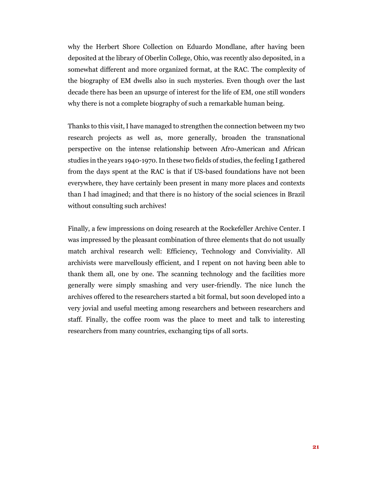why the Herbert Shore Collection on Eduardo Mondlane, after having been deposited at the library of Oberlin College, Ohio, was recently also deposited, in a somewhat different and more organized format, at the RAC. The complexity of the biography of EM dwells also in such mysteries. Even though over the last decade there has been an upsurge of interest for the life of EM, one still wonders why there is not a complete biography of such a remarkable human being.

Thanks to this visit, I have managed to strengthen the connection between my two research projects as well as, more generally, broaden the transnational perspective on the intense relationship between Afro-American and African studies in the years 1940-1970. In these two fields of studies, the feeling I gathered from the days spent at the RAC is that if US-based foundations have not been everywhere, they have certainly been present in many more places and contexts than I had imagined; and that there is no history of the social sciences in Brazil without consulting such archives!

Finally, a few impressions on doing research at the Rockefeller Archive Center. I was impressed by the pleasant combination of three elements that do not usually match archival research well: Efficiency, Technology and Conviviality. All archivists were marvellously efficient, and I repent on not having been able to thank them all, one by one. The scanning technology and the facilities more generally were simply smashing and very user-friendly. The nice lunch the archives offered to the researchers started a bit formal, but soon developed into a very jovial and useful meeting among researchers and between researchers and staff. Finally, the coffee room was the place to meet and talk to interesting researchers from many countries, exchanging tips of all sorts.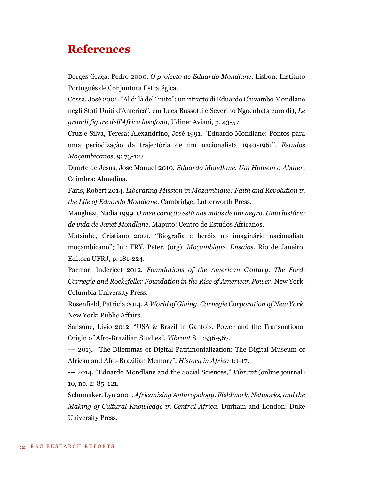# **References**

Borges Graça, Pedro 2000. *O projecto de Eduardo Mondlane*, Lisbon: Instituto Português de Conjuntura Estratégica.

Cossa, José 2001. "Al di là del "mito": un ritratto di Eduardo Chivambo Mondlane negli Stati Uniti d'America", em Luca Bussotti e Severino Ngoenha(a cura di), *Le grandi figure dell'Africa lusofona*, Udine: Aviani, p. 43-57.

Cruz e Silva, Teresa; Alexandrino, José 1991. "Eduardo Mondlane: Pontos para uma periodização da trajectória de um nacionalista 1940-1961", *Estudos Moçambicanos*, 9: 73-122.

Duarte de Jesus, Jose Manuel 2010. *Eduardo Mondlane. Um Homem a Abater.*  Coimbra: Almedina.

Faris, Robert 2014. *Liberating Mission in Mozambique: Faith and Revolution in the Life of Eduardo Mondlane.* Cambridge: Lutterworth Press.

Manghezi, Nadia 1999. *O meu coração está nas mãos de um negro. Uma história de vida de Janet Mondlane*. Maputo: Centro de Estudos Africanos.

Matsinhe, Cristiano 2001. "Biografia e heróis no imaginário nacionalista moçambicano"; In.: FRY, Peter. (org). *Moçambique. Ensaios*. Rio de Janeiro: Editora UFRJ, p. 181-224.

Parmar, Inderjeet 2012. *Foundations of the American Century. The Ford, Carnegie and Rockefeller Foundation in the Rise of American Power*. New York: Columbia University Press.

Rosenfield, Patricia 2014. *A World of Giving. Carnegie Corporation of New York*. New York: Public Affairs.

Sansone, Livio 2012. "USA & Brazil in Gantois. Power and the Transnational Origin of Afro-Brazilian Studies", *Vibrant* 8, 1:536-567.

--- 2013. "The Dilemmas of Digital Patrimonialization: The Digital Museum of African and Afro-Brazilian Memory", *History in Africa* 1:1-17.

--- 2014. "Eduardo Mondlane and the Social Sciences," *Vibrant* (online journal) 10, no. 2: 85‒121.

Schumaker, Lyn 2001. *Africanizing Anthropology. Fieldwork, Networks, and the Making of Cultural Knowledge in Central Africa*. Durham and London: Duke University Press.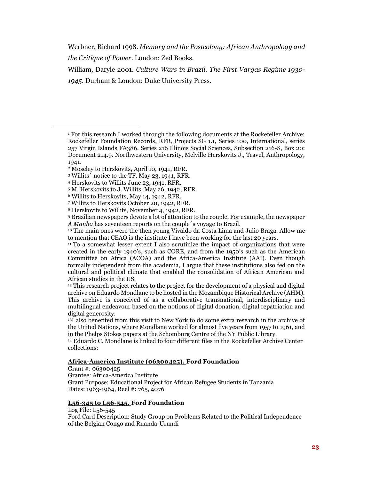Werbner, Richard 1998. *Memory and the Postcolony: African Anthropology and the Critique of Power*. London: Zed Books.

William, Daryle 2001. *Culture Wars in Brazil. The First Vargas Regime 1930- 1945*. Durham & London: Duke University Press.

 $\overline{a}$ 

## **[Africa-America Institute \(06300425\),](http://dimes.rockarch.org/xtf/view?docId=ead/FA732A/FA732A.xml;chunk.id=aspace_d17d1a88d2c3147f266da83c3aaa54e8;doc.view=contents;#aspace_b6bf6fb3a453aa3725ba101e5fcb47cc) Ford Foundation**

Grant #: 06300425 Grantee: Africa-America Institute Grant Purpose: Educational Project for African Refugee Students in Tanzania Dates: 1963-1964, Reel #: 765, 4076

## **[L56-345 to L56-545,](http://dimes.rockarch.org/xtf/view?docId=ead/FA734/FA734.xml;query=L56-545;brand=default;chunk.id=contentsLink;doc.view=contents#aspace_ref19_2or) Ford Foundation**

Log File: L56-545

Ford Card Description: Study Group on Problems Related to the Political Independence of the Belgian Congo and Ruanda-Urundi

<sup>1</sup> For this research I worked through the following documents at the Rockefeller Archive: Rockefeller Foundation Records, RFR, Projects SG 1.1, Series 100, International, series 257 Virgin Islands FA386. Series 216 Illinois Social Sciences, Subsection 216-S, Box 20: Document 214.9. Northwestern University, Melville Herskovits J., Travel, Anthropology, 1941.

<sup>2</sup> Moseley to Herskovits, April 10, 1941, RFR.

<sup>3</sup> Willits´ notice to the TF, May 23, 1941, RFR.

<sup>4</sup> Herskovits to Willits June 23, 1941, RFR.

<sup>5</sup> M. Herskovits to J. Willits, May 26, 1942, RFR.

<sup>6</sup> Willits to Herskovits, May 14, 1942, RFR.

<sup>7</sup> Willits to Herskovits October 20, 1942, RFR.

<sup>8</sup> Herskovits to Willits, November 4, 1942, RFR.

<sup>9</sup> Brazilian newspapers devote a lot of attention to the couple. For example, the newspaper *A Manha* has seventeen reports on the couple´s voyage to Brazil.

<sup>10</sup> The main ones were the then young Vivaldo da Costa Lima and Julio Braga. Allow me to mention that CEAO is the institute I have been working for the last 20 years.

<sup>11</sup> To a somewhat lesser extent I also scrutinize the impact of organizations that were created in the early 1940's, such as CORE, and from the 1950's such as the American Committee on Africa (ACOA) and the Africa-America Institute (AAI). Even though formally independent from the academia, I argue that these institutions also fed on the cultural and political climate that enabled the consolidation of African American and African studies in the US.

<sup>&</sup>lt;sup>12</sup> This research project relates to the project for the development of a physical and digital archive on Eduardo Mondlane to be hosted in the Mozambique Historical Archive (AHM). This archive is conceived of as a collaborative transnational, interdisciplinary and multilingual endeavour based on the notions of digital donation, digital repatriation and digital generosity.

<sup>13</sup>I also benefited from this visit to New York to do some extra research in the archive of the United Nations, where Mondlane worked for almost five years from 1957 to 1961, and in the Phelps Stokes papers at the Schomburg Centre of the NY Public Library.

<sup>14</sup> Eduardo C. Mondlane is linked to four different files in the Rockefeller Archive Center collections: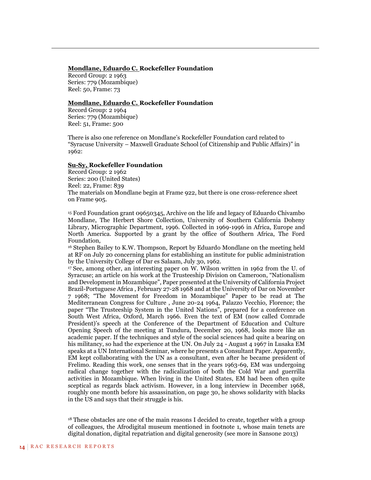#### **[Mondlane, Eduardo C.](http://dimes.rockarch.org/xtf/view?docId=ead/FA400/FA400.xml;chunk.id=aspace_ref5880_9ch;doc.view=contents;#aspace_ref5881_h16) Rockefeller Foundation**

Record Group: 2 1963 Series: 779 (Mozambique) Reel: 50, Frame: 73

<u>.</u>

### **[Mondlane, Eduardo C.](http://dimes.rockarch.org/xtf/view?docId=ead/FA400/FA400.xml;chunk.id=aspace_ref6848_ehw;doc.view=contents;#aspace_ref6849_icu) Rockefeller Foundation**

Record Group: 2 1964 Series: 779 (Mozambique) Reel: 51, Frame: 500

There is also one reference on Mondlane's Rockefeller Foundation card related to "Syracuse University – Maxwell Graduate School (of Citizenship and Public Affairs)" in 1962:

### **[Su-Sy,](http://dimes.rockarch.org/xtf/view?docId=ead/FA400/FA400.xml;chunk.id=aspace_ref17103_0ab;doc.view=contents;#aspace_ref17226_h7o) Rockefeller Foundation**

Record Group: 2 1962 Series: 200 (United States) Reel: 22, Frame: 839 The materials on Mondlane begin at Frame 922, but there is one cross-reference sheet on Frame 905.

<sup>15</sup> Ford Foundation grant 09650345, Archive on the life and legacy of Eduardo Chivambo Mondlane, The Herbert Shore Collection, University of Southern California Doheny Library, Micrographic Department, 1996. Collected in 1969-1996 in Africa, Europe and North America. Supported by a grant by the office of Southern Africa, The Ford Foundation,

<sup>16</sup> Stephen Bailey to K.W. Thompson, Report by Eduardo Mondlane on the meeting held at RF on July 20 concerning plans for establishing an institute for public administration by the University College of Dar es Salaam, July 30, 1962.

<sup>17</sup> See, among other, an interesting paper on W. Wilson written in 1962 from the U. of Syracuse; an article on his work at the Trusteeship Division on Cameroon, "Nationalism and Development in Mozambique", Paper presented at the University of California Project Brazil-Portuguese Africa , February 27-28 1968 and at the University of Dar on November 7 1968; "The Movement for Freedom in Mozambique" Paper to be read at The Mediterranean Congress for Culture , June 20-24 1964, Palazzo Vecchio, Florence; the paper "The Trusteeship System in the United Nations", prepared for a conference on South West Africa, Oxford, March 1966. Even the text of EM (now called Comrade President)'s speech at the Conference of the Department of Education and Culture Opening Speech of the meeting at Tundura, December 20, 1968, looks more like an academic paper. If the techniques and style of the social sciences had quite a bearing on his militancy, so had the experience at the UN. On July 24 - August 4 1967 in Lusaka EM speaks at a UN International Seminar, where he presents a Consultant Paper. Apparently, EM kept collaborating with the UN as a consultant, even after he became president of Frelimo. Reading this work, one senses that in the years 1963-69, EM was undergoing radical change together with the radicalization of both the Cold War and guerrilla activities in Mozambique. When living in the United States, EM had been often quite sceptical as regards black activism. However, in a long interview in December 1968, roughly one month before his assassination, on page 30, he shows solidarity with blacks in the US and says that their struggle is his.

 $18$  These obstacles are one of the main reasons I decided to create, together with a group of colleagues, the Afrodigital museum mentioned in footnote 1, whose main tenets are digital donation, digital repatriation and digital generosity (see more in Sansone 2013)